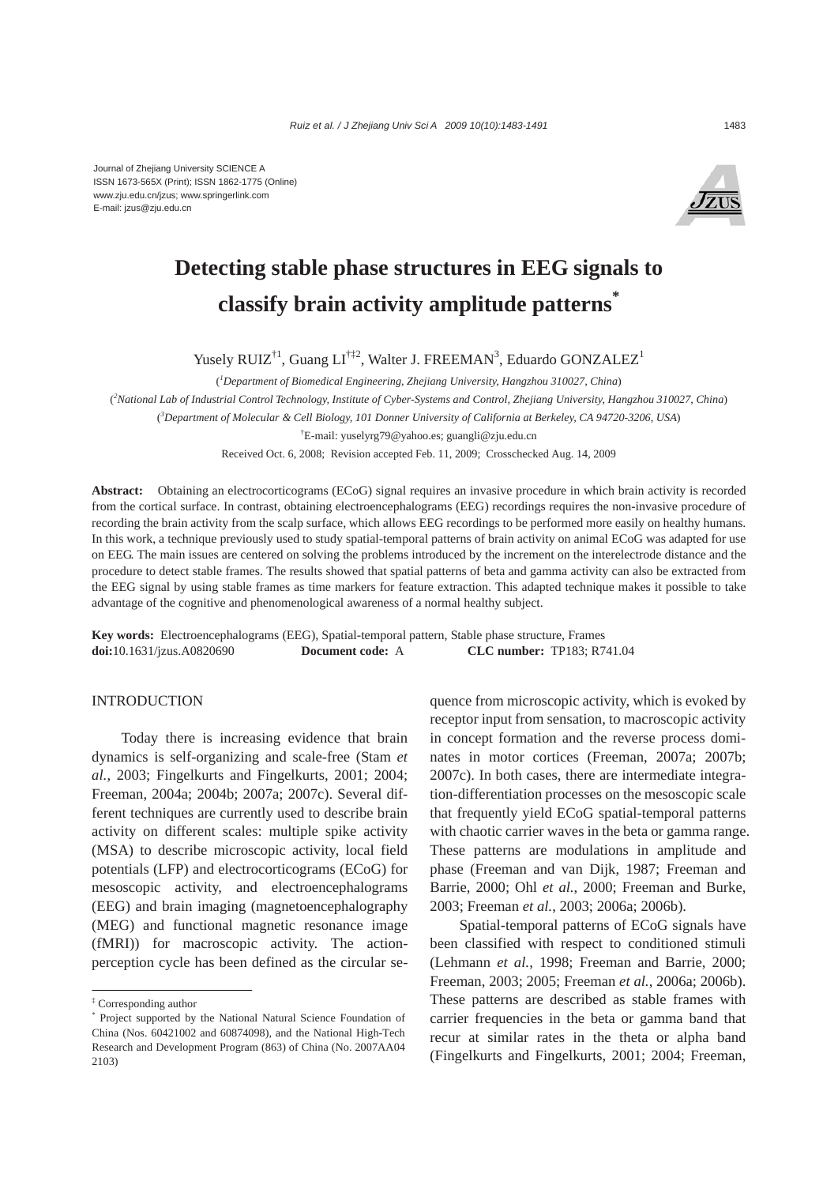

# **Detecting stable phase structures in EEG signals to classify brain activity amplitude patterns\***

Yusely RUIZ<sup>†1</sup>, Guang LI<sup>†‡2</sup>, Walter J. FREEMAN<sup>3</sup>, Eduardo GONZALEZ<sup>1</sup>

( *1 Department of Biomedical Engineering, Zhejiang University, Hangzhou 310027, China*)

( *2 National Lab of Industrial Control Technology, Institute of Cyber-Systems and Control, Zhejiang University, Hangzhou 310027, China*) ( *3 Department of Molecular & Cell Biology, 101 Donner University of California at Berkeley, CA 94720-3206, USA*) † E-mail: yuselyrg79@yahoo.es; guangli@zju.edu.cn

Received Oct. 6, 2008; Revision accepted Feb. 11, 2009; Crosschecked Aug. 14, 2009

**Abstract:** Obtaining an electrocorticograms (ECoG) signal requires an invasive procedure in which brain activity is recorded from the cortical surface. In contrast, obtaining electroencephalograms (EEG) recordings requires the non-invasive procedure of recording the brain activity from the scalp surface, which allows EEG recordings to be performed more easily on healthy humans. In this work, a technique previously used to study spatial-temporal patterns of brain activity on animal ECoG was adapted for use on EEG. The main issues are centered on solving the problems introduced by the increment on the interelectrode distance and the procedure to detect stable frames. The results showed that spatial patterns of beta and gamma activity can also be extracted from the EEG signal by using stable frames as time markers for feature extraction. This adapted technique makes it possible to take advantage of the cognitive and phenomenological awareness of a normal healthy subject.

**Key words:** Electroencephalograms (EEG), Spatial-temporal pattern, Stable phase structure, Frames **doi:**10.1631/jzus.A0820690 **Document code:** A **CLC number:** TP183; R741.04

## INTRODUCTION

Today there is increasing evidence that brain dynamics is self-organizing and scale-free (Stam *et al.*, 2003; Fingelkurts and Fingelkurts, 2001; 2004; Freeman, 2004a; 2004b; 2007a; 2007c). Several different techniques are currently used to describe brain activity on different scales: multiple spike activity (MSA) to describe microscopic activity, local field potentials (LFP) and electrocorticograms (ECoG) for mesoscopic activity, and electroencephalograms (EEG) and brain imaging (magnetoencephalography (MEG) and functional magnetic resonance image (fMRI)) for macroscopic activity. The actionperception cycle has been defined as the circular sequence from microscopic activity, which is evoked by receptor input from sensation, to macroscopic activity in concept formation and the reverse process dominates in motor cortices (Freeman, 2007a; 2007b; 2007c). In both cases, there are intermediate integration-differentiation processes on the mesoscopic scale that frequently yield ECoG spatial-temporal patterns with chaotic carrier waves in the beta or gamma range. These patterns are modulations in amplitude and phase (Freeman and van Dijk, 1987; Freeman and Barrie, 2000; Ohl *et al.*, 2000; Freeman and Burke, 2003; Freeman *et al.*, 2003; 2006a; 2006b).

Spatial-temporal patterns of ECoG signals have been classified with respect to conditioned stimuli (Lehmann *et al.*, 1998; Freeman and Barrie, 2000; Freeman, 2003; 2005; Freeman *et al.*, 2006a; 2006b). These patterns are described as stable frames with carrier frequencies in the beta or gamma band that recur at similar rates in the theta or alpha band (Fingelkurts and Fingelkurts, 2001; 2004; Freeman,

<sup>‡</sup> Corresponding author

<sup>\*</sup> Project supported by the National Natural Science Foundation of China (Nos. 60421002 and 60874098), and the National High-Tech Research and Development Program (863) of China (No. 2007AA04 2103)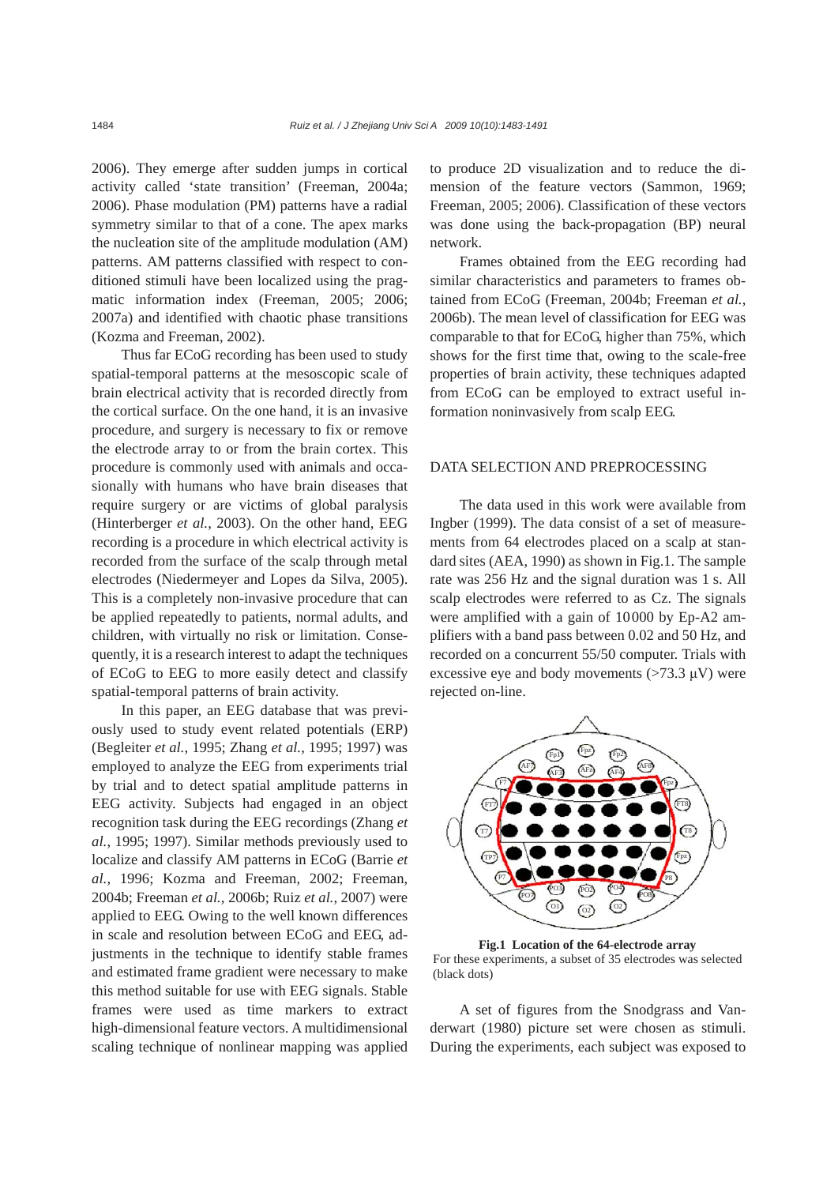2006). They emerge after sudden jumps in cortical activity called 'state transition' (Freeman, 2004a; 2006). Phase modulation (PM) patterns have a radial symmetry similar to that of a cone. The apex marks the nucleation site of the amplitude modulation (AM) patterns. AM patterns classified with respect to conditioned stimuli have been localized using the pragmatic information index (Freeman, 2005; 2006; 2007a) and identified with chaotic phase transitions (Kozma and Freeman, 2002).

Thus far ECoG recording has been used to study spatial-temporal patterns at the mesoscopic scale of brain electrical activity that is recorded directly from the cortical surface. On the one hand, it is an invasive procedure, and surgery is necessary to fix or remove the electrode array to or from the brain cortex. This procedure is commonly used with animals and occasionally with humans who have brain diseases that require surgery or are victims of global paralysis (Hinterberger *et al.*, 2003). On the other hand, EEG recording is a procedure in which electrical activity is recorded from the surface of the scalp through metal electrodes (Niedermeyer and Lopes da Silva, 2005). This is a completely non-invasive procedure that can be applied repeatedly to patients, normal adults, and children, with virtually no risk or limitation. Consequently, it is a research interest to adapt the techniques of ECoG to EEG to more easily detect and classify spatial-temporal patterns of brain activity.

In this paper, an EEG database that was previously used to study event related potentials (ERP) (Begleiter *et al.*, 1995; Zhang *et al.*, 1995; 1997) was employed to analyze the EEG from experiments trial by trial and to detect spatial amplitude patterns in EEG activity. Subjects had engaged in an object recognition task during the EEG recordings (Zhang *et al.*, 1995; 1997). Similar methods previously used to localize and classify AM patterns in ECoG (Barrie *et al.*, 1996; Kozma and Freeman, 2002; Freeman, 2004b; Freeman *et al.*, 2006b; Ruiz *et al.*, 2007) were applied to EEG. Owing to the well known differences in scale and resolution between ECoG and EEG, adjustments in the technique to identify stable frames and estimated frame gradient were necessary to make this method suitable for use with EEG signals. Stable frames were used as time markers to extract high-dimensional feature vectors. A multidimensional scaling technique of nonlinear mapping was applied to produce 2D visualization and to reduce the dimension of the feature vectors (Sammon, 1969; Freeman, 2005; 2006). Classification of these vectors was done using the back-propagation (BP) neural network.

Frames obtained from the EEG recording had similar characteristics and parameters to frames obtained from ECoG (Freeman, 2004b; Freeman *et al.*, 2006b). The mean level of classification for EEG was comparable to that for ECoG, higher than 75%, which shows for the first time that, owing to the scale-free properties of brain activity, these techniques adapted from ECoG can be employed to extract useful information noninvasively from scalp EEG.

#### DATA SELECTION AND PREPROCESSING

The data used in this work were available from Ingber (1999). The data consist of a set of measurements from 64 electrodes placed on a scalp at standard sites (AEA, 1990) as shown in Fig.1. The sample rate was 256 Hz and the signal duration was 1 s. All scalp electrodes were referred to as Cz. The signals were amplified with a gain of 10000 by Ep-A2 amplifiers with a band pass between 0.02 and 50 Hz, and recorded on a concurrent 55/50 computer. Trials with excessive eye and body movements  $(>73.3 \mu V)$  were rejected on-line.



**Fig.1 Location of the 64-electrode array**  For these experiments, a subset of 35 electrodes was selected (black dots)

A set of figures from the Snodgrass and Vanderwart (1980) picture set were chosen as stimuli. During the experiments, each subject was exposed to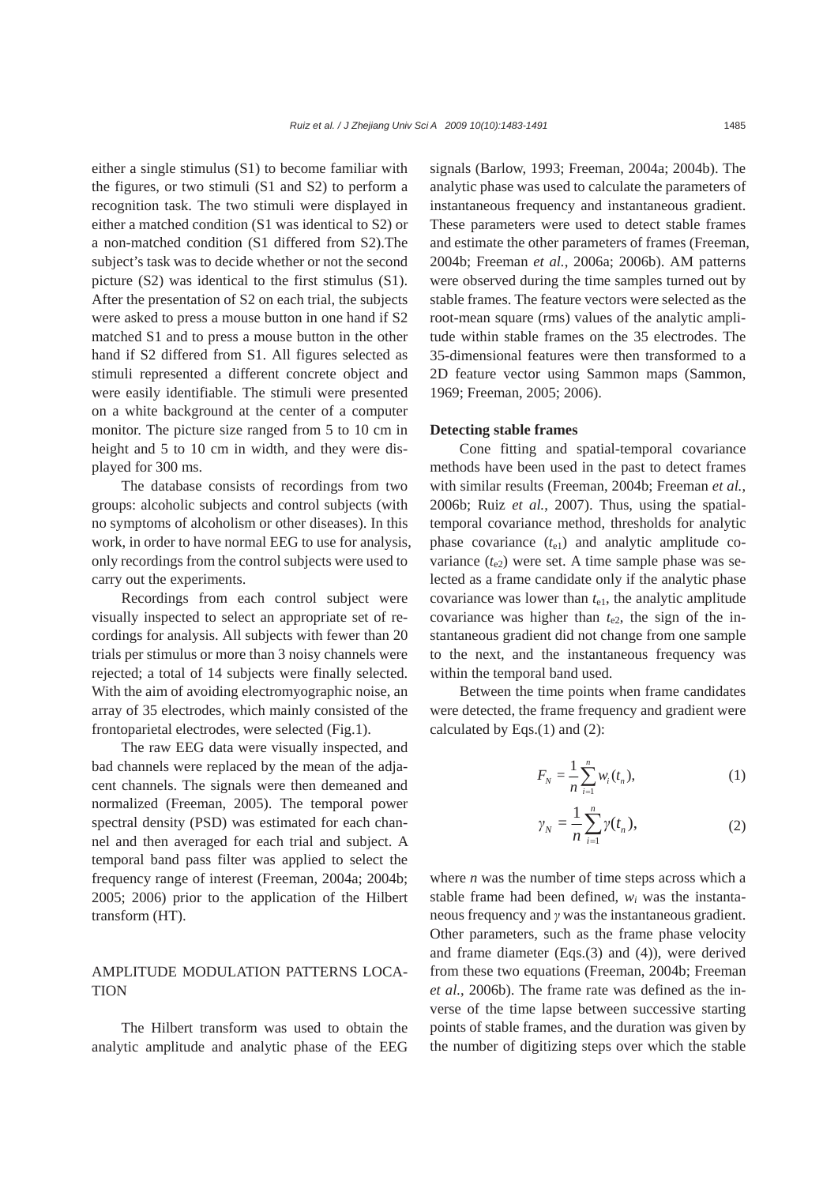either a single stimulus (S1) to become familiar with the figures, or two stimuli (S1 and S2) to perform a recognition task. The two stimuli were displayed in either a matched condition (S1 was identical to S2) or a non-matched condition (S1 differed from S2).The subject's task was to decide whether or not the second picture (S2) was identical to the first stimulus (S1). After the presentation of S2 on each trial, the subjects were asked to press a mouse button in one hand if S2 matched S1 and to press a mouse button in the other hand if S2 differed from S1. All figures selected as stimuli represented a different concrete object and were easily identifiable. The stimuli were presented on a white background at the center of a computer monitor. The picture size ranged from 5 to 10 cm in height and 5 to 10 cm in width, and they were displayed for 300 ms.

The database consists of recordings from two groups: alcoholic subjects and control subjects (with no symptoms of alcoholism or other diseases). In this work, in order to have normal EEG to use for analysis, only recordings from the control subjects were used to carry out the experiments.

Recordings from each control subject were visually inspected to select an appropriate set of recordings for analysis. All subjects with fewer than 20 trials per stimulus or more than 3 noisy channels were rejected; a total of 14 subjects were finally selected. With the aim of avoiding electromyographic noise, an array of 35 electrodes, which mainly consisted of the frontoparietal electrodes, were selected (Fig.1).

The raw EEG data were visually inspected, and bad channels were replaced by the mean of the adjacent channels. The signals were then demeaned and normalized (Freeman, 2005). The temporal power spectral density (PSD) was estimated for each channel and then averaged for each trial and subject. A temporal band pass filter was applied to select the frequency range of interest (Freeman, 2004a; 2004b; 2005; 2006) prior to the application of the Hilbert transform (HT).

## AMPLITUDE MODULATION PATTERNS LOCA-**TION**

The Hilbert transform was used to obtain the analytic amplitude and analytic phase of the EEG signals (Barlow, 1993; Freeman, 2004a; 2004b). The analytic phase was used to calculate the parameters of instantaneous frequency and instantaneous gradient. These parameters were used to detect stable frames and estimate the other parameters of frames (Freeman, 2004b; Freeman *et al.*, 2006a; 2006b). AM patterns were observed during the time samples turned out by stable frames. The feature vectors were selected as the root-mean square (rms) values of the analytic amplitude within stable frames on the 35 electrodes. The 35-dimensional features were then transformed to a 2D feature vector using Sammon maps (Sammon, 1969; Freeman, 2005; 2006).

#### **Detecting stable frames**

Cone fitting and spatial-temporal covariance methods have been used in the past to detect frames with similar results (Freeman, 2004b; Freeman *et al.*, 2006b; Ruiz *et al.*, 2007). Thus, using the spatialtemporal covariance method, thresholds for analytic phase covariance  $(t_{e1})$  and analytic amplitude covariance  $(t_{e2})$  were set. A time sample phase was selected as a frame candidate only if the analytic phase covariance was lower than *t*e1, the analytic amplitude covariance was higher than  $t_{e2}$ , the sign of the instantaneous gradient did not change from one sample to the next, and the instantaneous frequency was within the temporal band used.

Between the time points when frame candidates were detected, the frame frequency and gradient were calculated by Eqs.(1) and (2):

$$
F_N = \frac{1}{n} \sum_{i=1}^n w_i(t_n),
$$
 (1)

$$
\gamma_N = \frac{1}{n} \sum_{i=1}^n \gamma(t_n),\tag{2}
$$

where *n* was the number of time steps across which a stable frame had been defined,  $w_i$  was the instantaneous frequency and *γ* was the instantaneous gradient. Other parameters, such as the frame phase velocity and frame diameter (Eqs.(3) and (4)), were derived from these two equations (Freeman, 2004b; Freeman *et al.*, 2006b). The frame rate was defined as the inverse of the time lapse between successive starting points of stable frames, and the duration was given by the number of digitizing steps over which the stable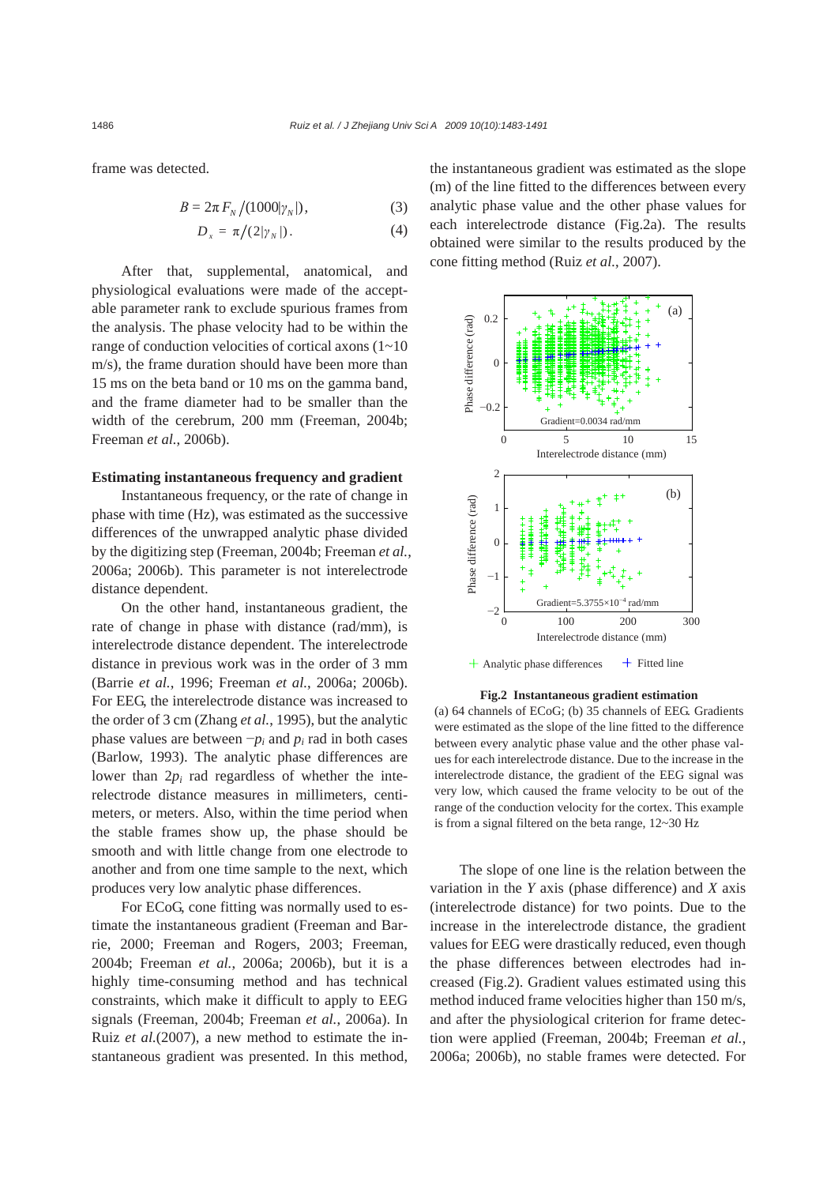frame was detected.

$$
B = 2\pi F_N / (1000|\gamma_N|), \tag{3}
$$

$$
D_x = \pi/(2|\gamma_N|). \tag{4}
$$

After that, supplemental, anatomical, and physiological evaluations were made of the acceptable parameter rank to exclude spurious frames from the analysis. The phase velocity had to be within the range of conduction velocities of cortical axons (1~10 m/s), the frame duration should have been more than 15 ms on the beta band or 10 ms on the gamma band, and the frame diameter had to be smaller than the width of the cerebrum, 200 mm (Freeman, 2004b; Freeman *et al.*, 2006b).

#### **Estimating instantaneous frequency and gradient**

Instantaneous frequency, or the rate of change in phase with time (Hz), was estimated as the successive differences of the unwrapped analytic phase divided by the digitizing step (Freeman, 2004b; Freeman *et al.*, 2006a; 2006b). This parameter is not interelectrode distance dependent.

On the other hand, instantaneous gradient, the rate of change in phase with distance (rad/mm), is interelectrode distance dependent. The interelectrode distance in previous work was in the order of 3 mm (Barrie *et al.*, 1996; Freeman *et al.*, 2006a; 2006b). For EEG, the interelectrode distance was increased to the order of 3 cm (Zhang *et al.*, 1995), but the analytic phase values are between  $-p_i$  and  $p_i$  rad in both cases (Barlow, 1993). The analytic phase differences are lower than  $2p_i$  rad regardless of whether the interelectrode distance measures in millimeters, centimeters, or meters. Also, within the time period when the stable frames show up, the phase should be smooth and with little change from one electrode to another and from one time sample to the next, which produces very low analytic phase differences.

For ECoG, cone fitting was normally used to estimate the instantaneous gradient (Freeman and Barrie, 2000; Freeman and Rogers, 2003; Freeman, 2004b; Freeman *et al.*, 2006a; 2006b), but it is a highly time-consuming method and has technical constraints, which make it difficult to apply to EEG signals (Freeman, 2004b; Freeman *et al.*, 2006a). In Ruiz *et al.*(2007), a new method to estimate the instantaneous gradient was presented. In this method,

the instantaneous gradient was estimated as the slope (m) of the line fitted to the differences between every analytic phase value and the other phase values for each interelectrode distance (Fig.2a). The results obtained were similar to the results produced by the cone fitting method (Ruiz *et al.*, 2007).



**Fig.2 Instantaneous gradient estimation** 

(a) 64 channels of ECoG; (b) 35 channels of EEG. Gradients were estimated as the slope of the line fitted to the difference between every analytic phase value and the other phase values for each interelectrode distance. Due to the increase in the interelectrode distance, the gradient of the EEG signal was very low, which caused the frame velocity to be out of the range of the conduction velocity for the cortex. This example is from a signal filtered on the beta range, 12~30 Hz

The slope of one line is the relation between the variation in the *Y* axis (phase difference) and *X* axis (interelectrode distance) for two points. Due to the increase in the interelectrode distance, the gradient values for EEG were drastically reduced, even though the phase differences between electrodes had increased (Fig.2). Gradient values estimated using this method induced frame velocities higher than 150 m/s, and after the physiological criterion for frame detection were applied (Freeman, 2004b; Freeman *et al.*, 2006a; 2006b), no stable frames were detected. For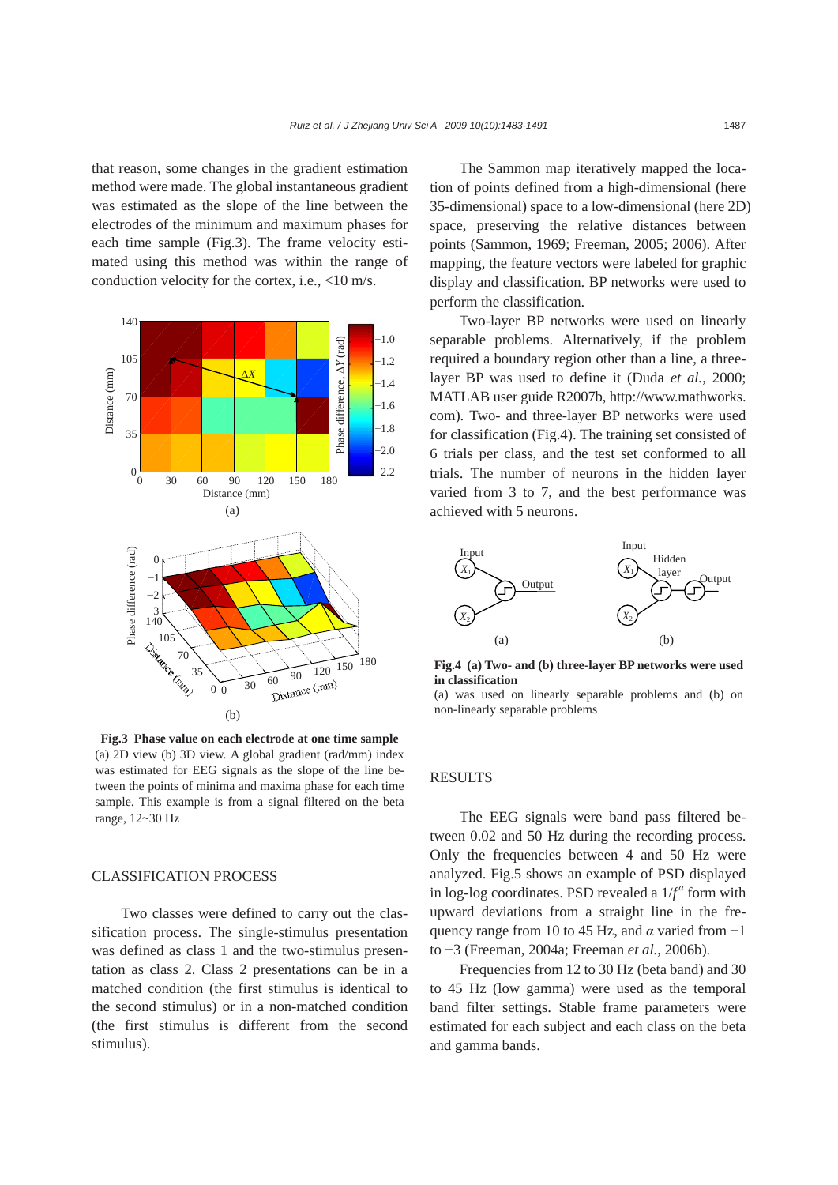that reason, some changes in the gradient estimation method were made. The global instantaneous gradient was estimated as the slope of the line between the electrodes of the minimum and maximum phases for each time sample (Fig.3). The frame velocity estimated using this method was within the range of conduction velocity for the cortex, i.e., <10 m/s.



**Fig.3 Phase value on each electrode at one time sample**  (a) 2D view (b) 3D view. A global gradient (rad/mm) index was estimated for EEG signals as the slope of the line between the points of minima and maxima phase for each time sample. This example is from a signal filtered on the beta range, 12~30 Hz

## CLASSIFICATION PROCESS

Two classes were defined to carry out the classification process. The single-stimulus presentation was defined as class 1 and the two-stimulus presentation as class 2. Class 2 presentations can be in a matched condition (the first stimulus is identical to the second stimulus) or in a non-matched condition (the first stimulus is different from the second stimulus).

The Sammon map iteratively mapped the location of points defined from a high-dimensional (here 35-dimensional) space to a low-dimensional (here 2D) space, preserving the relative distances between points (Sammon, 1969; Freeman, 2005; 2006). After mapping, the feature vectors were labeled for graphic display and classification. BP networks were used to perform the classification.

Two-layer BP networks were used on linearly separable problems. Alternatively, if the problem required a boundary region other than a line, a threelayer BP was used to define it (Duda *et al.*, 2000; MATLAB user guide R2007b, http://www.mathworks. com). Two- and three-layer BP networks were used for classification (Fig.4). The training set consisted of 6 trials per class, and the test set conformed to all trials. The number of neurons in the hidden layer varied from 3 to 7, and the best performance was achieved with 5 neurons.



**Fig.4 (a) Two- and (b) three-layer BP networks were used in classification** 

(a) was used on linearly separable problems and (b) on non-linearly separable problems

### RESULTS

The EEG signals were band pass filtered between 0.02 and 50 Hz during the recording process. Only the frequencies between 4 and 50 Hz were analyzed. Fig.5 shows an example of PSD displayed in log-log coordinates. PSD revealed a 1/*f α* form with upward deviations from a straight line in the frequency range from 10 to 45 Hz, and *α* varied from −1 to −3 (Freeman, 2004a; Freeman *et al.*, 2006b).

Frequencies from 12 to 30 Hz (beta band) and 30 to 45 Hz (low gamma) were used as the temporal band filter settings. Stable frame parameters were estimated for each subject and each class on the beta and gamma bands.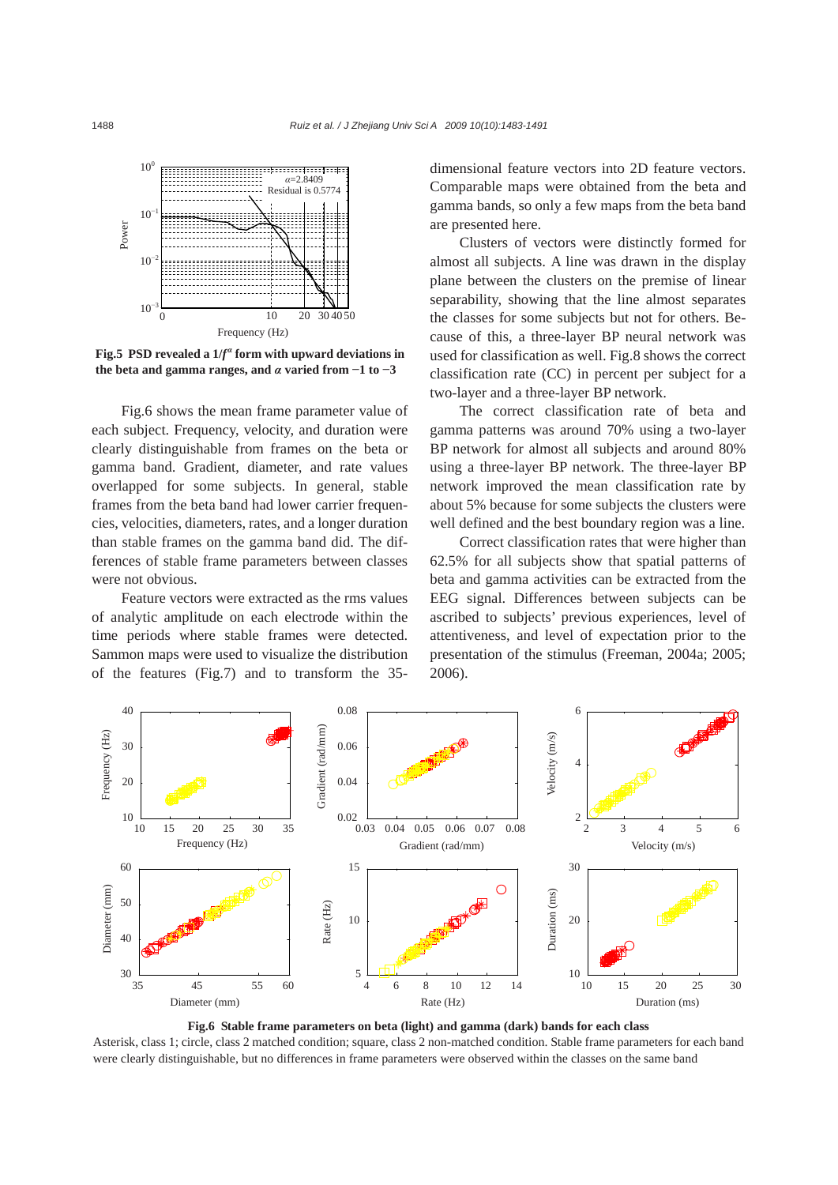

Fig.5 PSD revealed a  $1/f^{\alpha}$  form with upward deviations in **the beta and gamma ranges, and** *α* **varied from −1 to −3**

Fig.6 shows the mean frame parameter value of each subject. Frequency, velocity, and duration were clearly distinguishable from frames on the beta or gamma band. Gradient, diameter, and rate values overlapped for some subjects. In general, stable frames from the beta band had lower carrier frequencies, velocities, diameters, rates, and a longer duration than stable frames on the gamma band did. The differences of stable frame parameters between classes were not obvious.

Feature vectors were extracted as the rms values of analytic amplitude on each electrode within the time periods where stable frames were detected. Sammon maps were used to visualize the distribution of the features (Fig.7) and to transform the 35dimensional feature vectors into 2D feature vectors. Comparable maps were obtained from the beta and gamma bands, so only a few maps from the beta band are presented here.

Clusters of vectors were distinctly formed for almost all subjects. A line was drawn in the display plane between the clusters on the premise of linear separability, showing that the line almost separates the classes for some subjects but not for others. Because of this, a three-layer BP neural network was used for classification as well. Fig.8 shows the correct classification rate (CC) in percent per subject for a two-layer and a three-layer BP network.

The correct classification rate of beta and gamma patterns was around 70% using a two-layer BP network for almost all subjects and around 80% using a three-layer BP network. The three-layer BP network improved the mean classification rate by about 5% because for some subjects the clusters were well defined and the best boundary region was a line.

Correct classification rates that were higher than 62.5% for all subjects show that spatial patterns of beta and gamma activities can be extracted from the EEG signal. Differences between subjects can be ascribed to subjects' previous experiences, level of attentiveness, and level of expectation prior to the presentation of the stimulus (Freeman, 2004a; 2005; 2006).



Asterisk, class 1; circle, class 2 matched condition; square, class 2 non-matched condition. Stable frame parameters for each band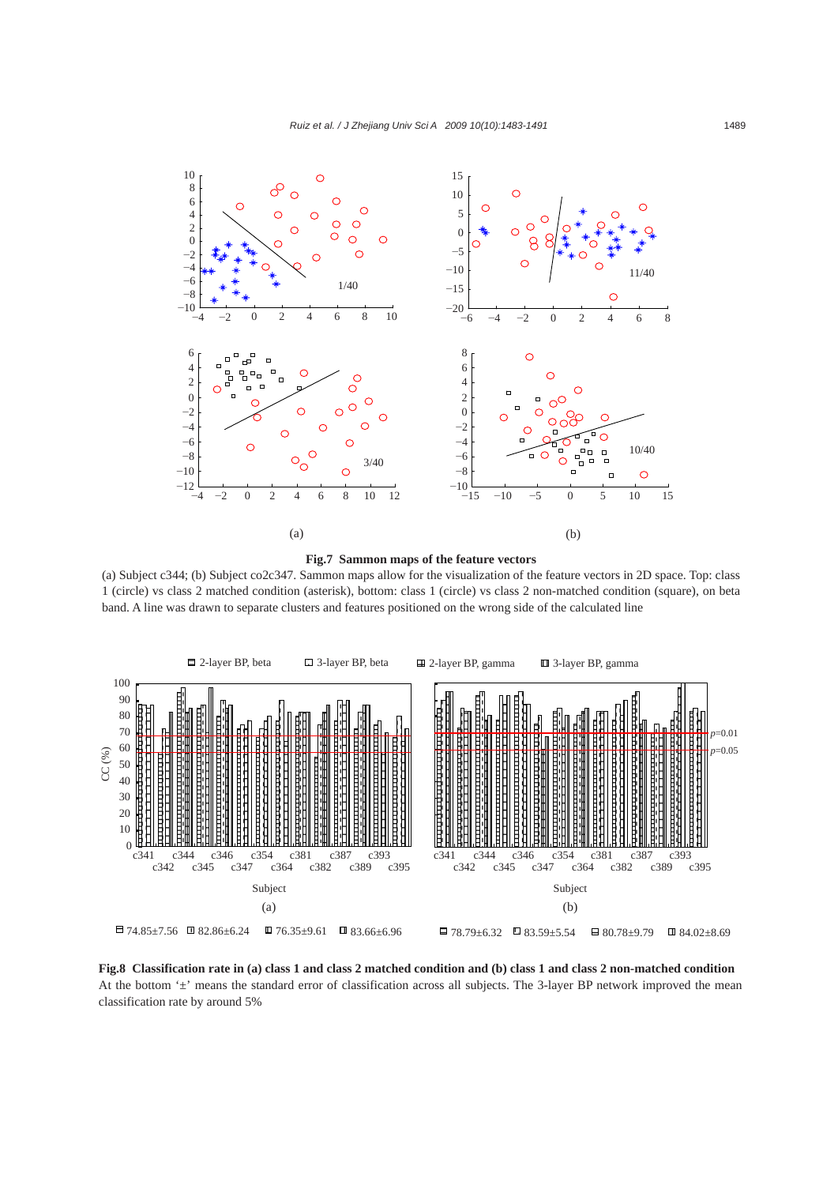



(a) Subject c344; (b) Subject co2c347. Sammon maps allow for the visualization of the feature vectors in 2D space. Top: class 1 (circle) vs class 2 matched condition (asterisk), bottom: class 1 (circle) vs class 2 non-matched condition (square), on beta band. A line was drawn to separate clusters and features positioned on the wrong side of the calculated line



**Fig.8 Classification rate in (a) class 1 and class 2 matched condition and (b) class 1 and class 2 non-matched condition**  At the bottom '±' means the standard error of classification across all subjects. The 3-layer BP network improved the mean classification rate by around 5%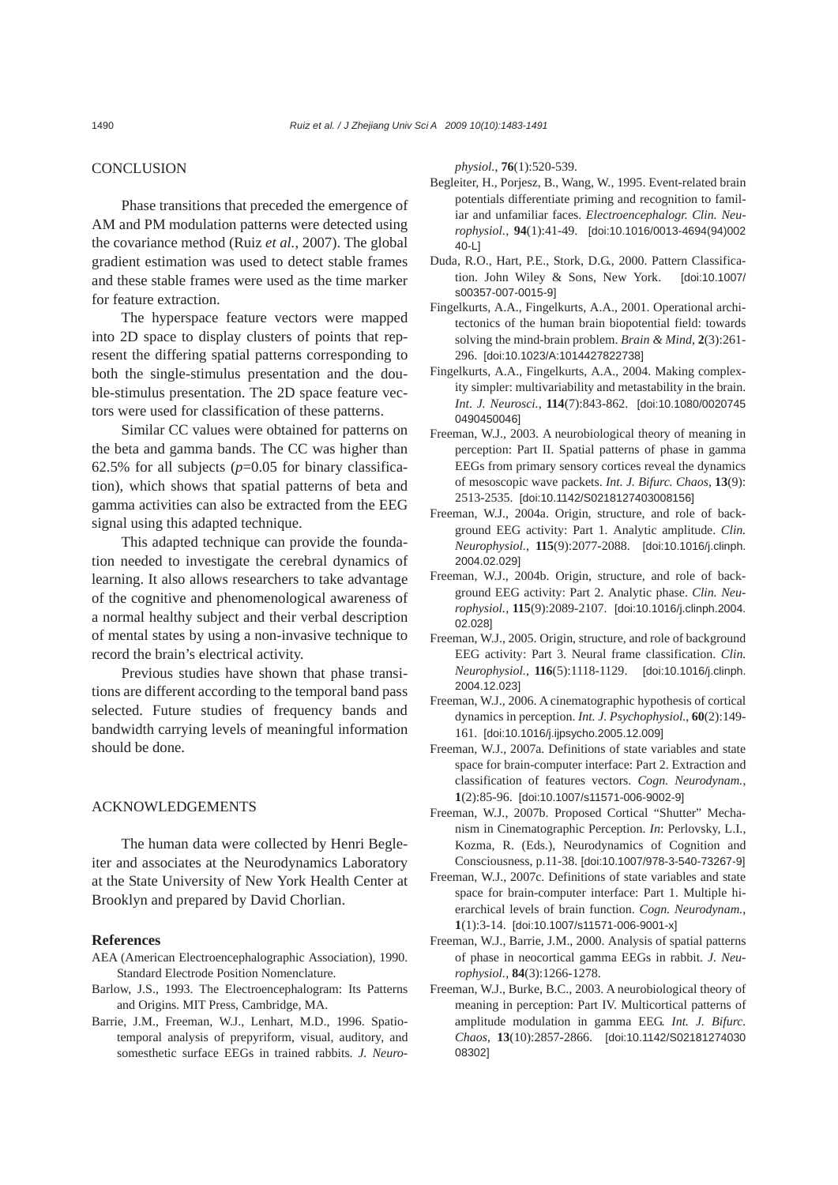## **CONCLUSION**

Phase transitions that preceded the emergence of AM and PM modulation patterns were detected using the covariance method (Ruiz *et al.*, 2007). The global gradient estimation was used to detect stable frames and these stable frames were used as the time marker for feature extraction.

The hyperspace feature vectors were mapped into 2D space to display clusters of points that represent the differing spatial patterns corresponding to both the single-stimulus presentation and the double-stimulus presentation. The 2D space feature vectors were used for classification of these patterns.

Similar CC values were obtained for patterns on the beta and gamma bands. The CC was higher than 62.5% for all subjects  $(p=0.05$  for binary classification), which shows that spatial patterns of beta and gamma activities can also be extracted from the EEG signal using this adapted technique.

This adapted technique can provide the foundation needed to investigate the cerebral dynamics of learning. It also allows researchers to take advantage of the cognitive and phenomenological awareness of a normal healthy subject and their verbal description of mental states by using a non-invasive technique to record the brain's electrical activity.

Previous studies have shown that phase transitions are different according to the temporal band pass selected. Future studies of frequency bands and bandwidth carrying levels of meaningful information should be done.

## ACKNOWLEDGEMENTS

The human data were collected by Henri Begleiter and associates at the Neurodynamics Laboratory at the State University of New York Health Center at Brooklyn and prepared by David Chorlian.

#### **References**

- AEA (American Electroencephalographic Association), 1990. Standard Electrode Position Nomenclature.
- Barlow, J.S., 1993. The Electroencephalogram: Its Patterns and Origins. MIT Press, Cambridge, MA.
- Barrie, J.M., Freeman, W.J., Lenhart, M.D., 1996. Spatiotemporal analysis of prepyriform, visual, auditory, and somesthetic surface EEGs in trained rabbits. *J. Neuro-*

*physiol.*, **76**(1):520-539.

- Begleiter, H., Porjesz, B., Wang, W., 1995. Event-related brain potentials differentiate priming and recognition to familiar and unfamiliar faces. *Electroencephalogr. Clin. Neurophysiol.*, **94**(1):41-49. [doi:10.1016/0013-4694(94)002 40-L]
- Duda, R.O., Hart, P.E., Stork, D.G., 2000. Pattern Classification. John Wiley & Sons, New York. [doi:10.1007/ s00357-007-0015-9]
- Fingelkurts, A.A., Fingelkurts, A.A., 2001. Operational architectonics of the human brain biopotential field: towards solving the mind-brain problem. *Brain & Mind*, **2**(3):261- 296. [doi:10.1023/A:1014427822738]
- Fingelkurts, A.A., Fingelkurts, A.A., 2004. Making complexity simpler: multivariability and metastability in the brain. *Int*. *J. Neurosci.*, **114**(7):843-862. [doi:10.1080/0020745 0490450046]
- Freeman, W.J., 2003. A neurobiological theory of meaning in perception: Part II. Spatial patterns of phase in gamma EEGs from primary sensory cortices reveal the dynamics of mesoscopic wave packets. *Int. J. Bifurc. Chaos*, **13**(9): 2513-2535. [doi:10.1142/S0218127403008156]
- Freeman, W.J., 2004a. Origin, structure, and role of background EEG activity: Part 1. Analytic amplitude. *Clin. Neurophysiol.*, **115**(9):2077-2088. [doi:10.1016/j.clinph. 2004.02.029]
- Freeman, W.J., 2004b. Origin, structure, and role of background EEG activity: Part 2. Analytic phase. *Clin. Neurophysiol.*, **115**(9):2089-2107. [doi:10.1016/j.clinph.2004. 02.028]
- Freeman, W.J., 2005. Origin, structure, and role of background EEG activity: Part 3. Neural frame classification. *Clin. Neurophysiol.*, **116**(5):1118-1129. [doi:10.1016/j.clinph. 2004.12.023]
- Freeman, W.J., 2006. A cinematographic hypothesis of cortical dynamics in perception. *Int. J. Psychophysiol.*, **60**(2):149- 161. [doi:10.1016/j.ijpsycho.2005.12.009]
- Freeman, W.J., 2007a. Definitions of state variables and state space for brain-computer interface: Part 2. Extraction and classification of features vectors. *Cogn. Neurodynam.*, **1**(2):85-96. [doi:10.1007/s11571-006-9002-9]
- Freeman, W.J., 2007b. Proposed Cortical "Shutter" Mechanism in Cinematographic Perception. *In*: Perlovsky, L.I., Kozma, R. (Eds.), Neurodynamics of Cognition and Consciousness, p.11-38. [doi:10.1007/978-3-540-73267-9]
- Freeman, W.J., 2007c. Definitions of state variables and state space for brain-computer interface: Part 1. Multiple hierarchical levels of brain function. *Cogn. Neurodynam.*, **1**(1):3-14. [doi:10.1007/s11571-006-9001-x]
- Freeman, W.J., Barrie, J.M., 2000. Analysis of spatial patterns of phase in neocortical gamma EEGs in rabbit. *J. Neurophysiol.*, **84**(3):1266-1278.
- Freeman, W.J., Burke, B.C., 2003. A neurobiological theory of meaning in perception: Part IV. Multicortical patterns of amplitude modulation in gamma EEG. *Int. J. Bifurc. Chaos*, **13**(10):2857-2866. [doi:10.1142/S02181274030 08302]